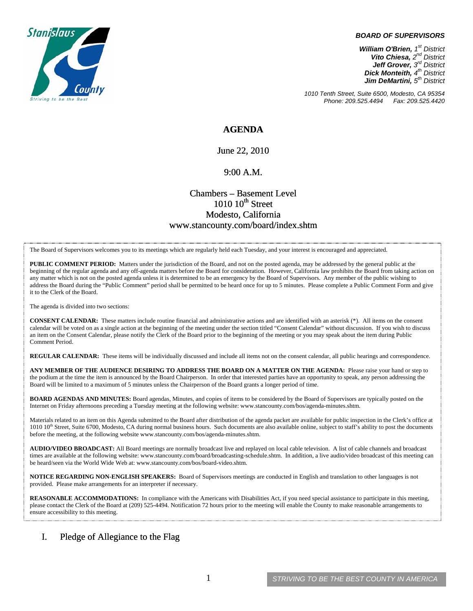

#### *BOARD OF SUPERVISORS*

*William O'Brien, 1st District Vito Chiesa, 2nd District Jeff Grover, 3rd District Dick Monteith, 4th District Jim DeMartini, 5th District*

*1010 Tenth Street, Suite 6500, Modesto, CA 95354 Phone: 209.525.4494* 

### **AGENDA**

June 22, 2010

#### 9:00 A.M.

### Chambers – Basement Level  $1010~10$ <sup>th</sup> Street Modesto, California www.stancounty.com/board/index.shtm

The Board of Supervisors welcomes you to its meetings which are regularly held each Tuesday, and your interest is encouraged and appreciated.

**PUBLIC COMMENT PERIOD:** Matters under the jurisdiction of the Board, and not on the posted agenda, may be addressed by the general public at the beginning of the regular agenda and any off-agenda matters before the Board for consideration. However, California law prohibits the Board from taking action on any matter which is not on the posted agenda unless it is determined to be an emergency by the Board of Supervisors. Any member of the public wishing to address the Board during the "Public Comment" period shall be permitted to be heard once for up to 5 minutes. Please complete a Public Comment Form and give it to the Clerk of the Board.

The agenda is divided into two sections:

**CONSENT CALENDAR:** These matters include routine financial and administrative actions and are identified with an asterisk (\*). All items on the consent calendar will be voted on as a single action at the beginning of the meeting under the section titled "Consent Calendar" without discussion. If you wish to discuss an item on the Consent Calendar, please notify the Clerk of the Board prior to the beginning of the meeting or you may speak about the item during Public Comment Period.

**REGULAR CALENDAR:** These items will be individually discussed and include all items not on the consent calendar, all public hearings and correspondence.

**ANY MEMBER OF THE AUDIENCE DESIRING TO ADDRESS THE BOARD ON A MATTER ON THE AGENDA:** Please raise your hand or step to the podium at the time the item is announced by the Board Chairperson. In order that interested parties have an opportunity to speak, any person addressing the Board will be limited to a maximum of 5 minutes unless the Chairperson of the Board grants a longer period of time.

**BOARD AGENDAS AND MINUTES:** Board agendas, Minutes, and copies of items to be considered by the Board of Supervisors are typically posted on the Internet on Friday afternoons preceding a Tuesday meeting at the following website: www.stancounty.com/bos/agenda-minutes.shtm.

Materials related to an item on this Agenda submitted to the Board after distribution of the agenda packet are available for public inspection in the Clerk's office at 1010 10<sup>th</sup> Street, Suite 6700, Modesto, CA during normal business hours. Such documents are also available online, subject to staff's ability to post the documents before the meeting, at the following website www.stancounty.com/bos/agenda-minutes.shtm.

**AUDIO/VIDEO BROADCAST:** All Board meetings are normally broadcast live and replayed on local cable television. A list of cable channels and broadcast times are available at the following website: www.stancounty.com/board/broadcasting-schedule.shtm. In addition, a live audio/video broadcast of this meeting can be heard/seen via the World Wide Web at: www.stancounty.com/bos/board-video.shtm.

**NOTICE REGARDING NON-ENGLISH SPEAKERS:** Board of Supervisors meetings are conducted in English and translation to other languages is not provided. Please make arrangements for an interpreter if necessary.

**REASONABLE ACCOMMODATIONS:** In compliance with the Americans with Disabilities Act, if you need special assistance to participate in this meeting, please contact the Clerk of the Board at (209) 525-4494. Notification 72 hours prior to the meeting will enable the County to make reasonable arrangements to ensure accessibility to this meeting.

### I. Pledge of Allegiance to the Flag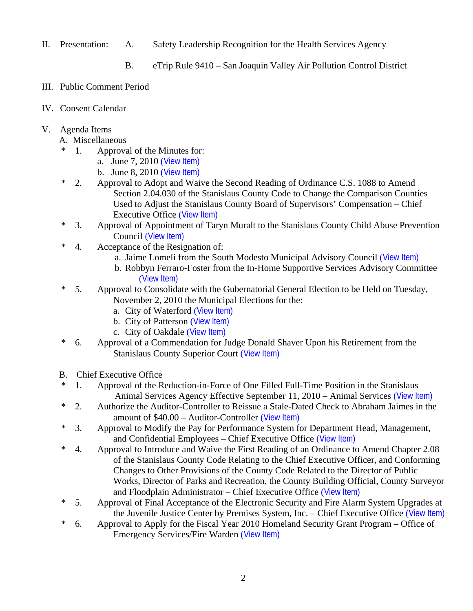- II. Presentation: A. Safety Leadership Recognition for the Health Services Agency
	- B. eTrip Rule 9410 San Joaquin Valley Air Pollution Control District
- III. Public Comment Period
- IV. Consent Calendar
- V. Agenda Items
	- A. Miscellaneous
	- \* 1. Approval of the Minutes for:
		- a. June 7, 2010 ([View Item\)](http://www.stancounty.com/bos/minutes/2010/min06-07-10.pdf)
		- b. June 8, 2010 ([View Item\)](http://www.stancounty.com/bos/minutes/2010/min06-08-10.pdf)
	- \* 2. Approval to Adopt and Waive the Second Reading of Ordinance C.S. 1088 to Amend Section 2.04.030 of the Stanislaus County Code to Change the Comparison Counties Used to Adjust the Stanislaus County Board of Supervisors' Compensation – Chief Executive Office ([View Item\)](http://www.stancounty.com/bos/agenda/2010/20100622/A02.pdf)
	- \* 3. Approval of Appointment of Taryn Muralt to the Stanislaus County Child Abuse Prevention Council ([View Item\)](http://www.stancounty.com/bos/agenda/2010/20100622/A03.pdf)
	- \* 4. Acceptance of the Resignation of:
		- a. Jaime Lomeli from the South Modesto Municipal Advisory Council ([View Item\)](http://www.stancounty.com/bos/agenda/2010/20100622/A04a.pdf)
		- b. Robbyn Ferraro-Foster from the In-Home Supportive Services Advisory Committee ([View Item\)](http://www.stancounty.com/bos/agenda/2010/20100622/A04b.pdf)
	- \* 5. Approval to Consolidate with the Gubernatorial General Election to be Held on Tuesday, November 2, 2010 the Municipal Elections for the:
		- a. City of Waterford ([View Item\)](http://www.stancounty.com/bos/agenda/2010/20100622/A05a.pdf)
		- b. City of Patterson ([View Item\)](http://www.stancounty.com/bos/agenda/2010/20100622/A05b.pdf)
		- c. City of Oakdale ([View Item\)](http://www.stancounty.com/bos/agenda/2010/20100622/A05c.pdf)
	- \* 6. Approval of a Commendation for Judge Donald Shaver Upon his Retirement from the Stanislaus County Superior Court ([View Item\)](http://www.stancounty.com/bos/agenda/2010/20100622/A06.pdf)
	- B. Chief Executive Office
	- \* 1. Approval of the Reduction-in-Force of One Filled Full-Time Position in the Stanislaus Animal Services Agency Effective September 11, 2010 – Animal Services ([View Item\)](http://www.stancounty.com/bos/agenda/2010/20100622/B01.pdf)
	- \* 2. Authorize the Auditor-Controller to Reissue a Stale-Dated Check to Abraham Jaimes in the amount of \$40.00 – Auditor-Controller ([View Item\)](http://www.stancounty.com/bos/agenda/2010/20100622/B02.pdf)
	- \* 3. Approval to Modify the Pay for Performance System for Department Head, Management, and Confidential Employees – Chief Executive Office ([View Item\)](http://www.stancounty.com/bos/agenda/2010/20100622/B03.pdf)
	- \* 4. Approval to Introduce and Waive the First Reading of an Ordinance to Amend Chapter 2.08 of the Stanislaus County Code Relating to the Chief Executive Officer, and Conforming Changes to Other Provisions of the County Code Related to the Director of Public Works, Director of Parks and Recreation, the County Building Official, County Surveyor and Floodplain Administrator – Chief Executive Office ([View Item\)](http://www.stancounty.com/bos/agenda/2010/20100622/B04.pdf)
	- \* 5. Approval of Final Acceptance of the Electronic Security and Fire Alarm System Upgrades at the Juvenile Justice Center by Premises System, Inc. – Chief Executive Office ([View Item\)](http://www.stancounty.com/bos/agenda/2010/20100622/B05.pdf)
	- \* 6. Approval to Apply for the Fiscal Year 2010 Homeland Security Grant Program Office of Emergency Services/Fire Warden ([View Item\)](http://www.stancounty.com/bos/agenda/2010/20100622/B06.pdf)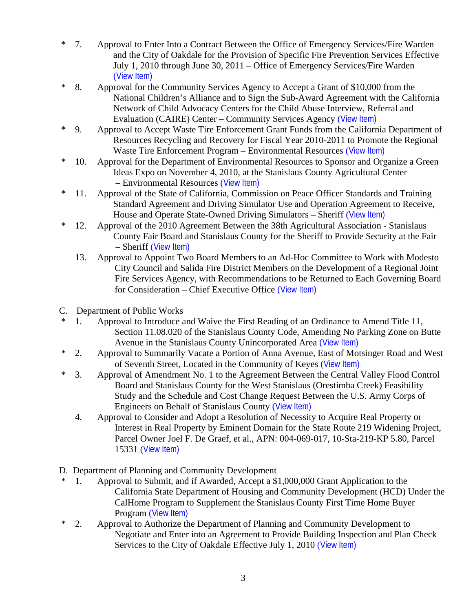- \* 7. Approval to Enter Into a Contract Between the Office of Emergency Services/Fire Warden and the City of Oakdale for the Provision of Specific Fire Prevention Services Effective July 1, 2010 through June 30, 2011 – Office of Emergency Services/Fire Warden ([View Item\)](http://www.stancounty.com/bos/agenda/2010/20100622/B07.pdf)
- \* 8. Approval for the Community Services Agency to Accept a Grant of \$10,000 from the National Children's Alliance and to Sign the Sub-Award Agreement with the California Network of Child Advocacy Centers for the Child Abuse Interview, Referral and Evaluation (CAIRE) Center – Community Services Agency ([View Item\)](http://www.stancounty.com/bos/agenda/2010/20100622/B08.pdf)
- \* 9. Approval to Accept Waste Tire Enforcement Grant Funds from the California Department of Resources Recycling and Recovery for Fiscal Year 2010-2011 to Promote the Regional Waste Tire Enforcement Program – Environmental Resources ([View Item\)](http://www.stancounty.com/bos/agenda/2010/20100622/B09.pdf)
- \* 10. Approval for the Department of Environmental Resources to Sponsor and Organize a Green Ideas Expo on November 4, 2010, at the Stanislaus County Agricultural Center – Environmental Resources ([View Item\)](http://www.stancounty.com/bos/agenda/2010/20100622/B10.pdf)
- \* 11. Approval of the State of California, Commission on Peace Officer Standards and Training Standard Agreement and Driving Simulator Use and Operation Agreement to Receive, House and Operate State-Owned Driving Simulators – Sheriff ([View Item\)](http://www.stancounty.com/bos/agenda/2010/20100622/B11.pdf)
- \* 12. Approval of the 2010 Agreement Between the 38th Agricultural Association Stanislaus County Fair Board and Stanislaus County for the Sheriff to Provide Security at the Fair – Sheriff ([View Item\)](http://www.stancounty.com/bos/agenda/2010/20100622/B12.pdf)
	- 13. Approval to Appoint Two Board Members to an Ad-Hoc Committee to Work with Modesto City Council and Salida Fire District Members on the Development of a Regional Joint Fire Services Agency, with Recommendations to be Returned to Each Governing Board for Consideration – Chief Executive Office ([View Item\)](http://www.stancounty.com/bos/agenda/2010/20100622/B13.pdf)
- C. Department of Public Works
- \* 1. Approval to Introduce and Waive the First Reading of an Ordinance to Amend Title 11, Section 11.08.020 of the Stanislaus County Code, Amending No Parking Zone on Butte Avenue in the Stanislaus County Unincorporated Area ([View Item\)](http://www.stancounty.com/bos/agenda/2010/20100622/C01.pdf)
- \* 2. Approval to Summarily Vacate a Portion of Anna Avenue, East of Motsinger Road and West of Seventh Street, Located in the Community of Keyes ([View Item\)](http://www.stancounty.com/bos/agenda/2010/20100622/C02.pdf)
- \* 3. Approval of Amendment No. 1 to the Agreement Between the Central Valley Flood Control Board and Stanislaus County for the West Stanislaus (Orestimba Creek) Feasibility Study and the Schedule and Cost Change Request Between the U.S. Army Corps of Engineers on Behalf of Stanislaus County ([View Item\)](http://www.stancounty.com/bos/agenda/2010/20100622/C03.pdf)
	- 4. Approval to Consider and Adopt a Resolution of Necessity to Acquire Real Property or Interest in Real Property by Eminent Domain for the State Route 219 Widening Project, Parcel Owner Joel F. De Graef, et al., APN: 004-069-017, 10-Sta-219-KP 5.80, Parcel 15331 ([View Item\)](http://www.stancounty.com/bos/agenda/2010/20100622/C04.pdf)
- D. Department of Planning and Community Development
- \* 1. Approval to Submit, and if Awarded, Accept a \$1,000,000 Grant Application to the California State Department of Housing and Community Development (HCD) Under the CalHome Program to Supplement the Stanislaus County First Time Home Buyer Program ([View Item\)](http://www.stancounty.com/bos/agenda/2010/20100622/D01.pdf)
- \* 2. Approval to Authorize the Department of Planning and Community Development to Negotiate and Enter into an Agreement to Provide Building Inspection and Plan Check Services to the City of Oakdale Effective July 1, 2010 ([View Item\)](http://www.stancounty.com/bos/agenda/2010/20100622/D02.pdf)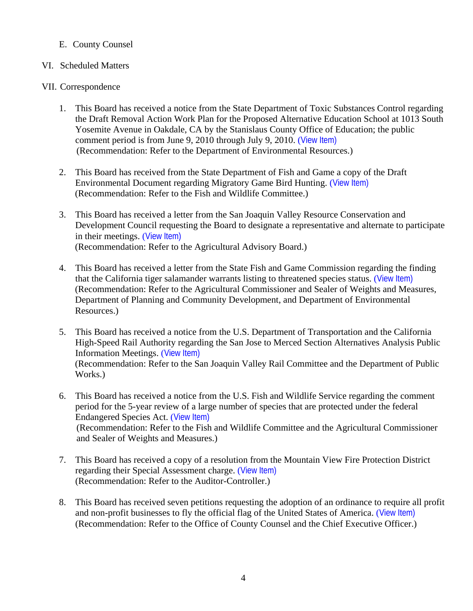# E. County Counsel

## VI. Scheduled Matters

### VII. Correspondence

- 1. This Board has received a notice from the State Department of Toxic Substances Control regarding the Draft Removal Action Work Plan for the Proposed Alternative Education School at 1013 South Yosemite Avenue in Oakdale, CA by the Stanislaus County Office of Education; the public comment period is from June 9, 2010 through July 9, 2010. ([View Item\)](http://www.stancounty.com/bos/agenda/2010/20100622/Corr01.pdf) (Recommendation: Refer to the Department of Environmental Resources.)
- 2. This Board has received from the State Department of Fish and Game a copy of the Draft Environmental Document regarding Migratory Game Bird Hunting. ([View Item\)](http://www.stancounty.com/bos/agenda/2010/20100622/Corr02.pdf) (Recommendation: Refer to the Fish and Wildlife Committee.)
- 3. This Board has received a letter from the San Joaquin Valley Resource Conservation and Development Council requesting the Board to designate a representative and alternate to participate in their meetings. ([View Item\)](http://www.stancounty.com/bos/agenda/2010/20100622/Corr03.pdf) (Recommendation: Refer to the Agricultural Advisory Board.)
- 4. This Board has received a letter from the State Fish and Game Commission regarding the finding that the California tiger salamander warrants listing to threatened species status. ([View Item\)](http://www.stancounty.com/bos/agenda/2010/20100622/Corr04.pdf) (Recommendation: Refer to the Agricultural Commissioner and Sealer of Weights and Measures, Department of Planning and Community Development, and Department of Environmental Resources.)
- 5. This Board has received a notice from the U.S. Department of Transportation and the California High-Speed Rail Authority regarding the San Jose to Merced Section Alternatives Analysis Public Information Meetings. ([View Item\)](http://www.stancounty.com/bos/agenda/2010/20100622/Corr05.pdf) (Recommendation: Refer to the San Joaquin Valley Rail Committee and the Department of Public Works.)
- 6. This Board has received a notice from the U.S. Fish and Wildlife Service regarding the comment period for the 5-year review of a large number of species that are protected under the federal Endangered Species Act. ([View Item\)](http://www.stancounty.com/bos/agenda/2010/20100622/Corr06.pdf) (Recommendation: Refer to the Fish and Wildlife Committee and the Agricultural Commissioner and Sealer of Weights and Measures.)
- 7. This Board has received a copy of a resolution from the Mountain View Fire Protection District regarding their Special Assessment charge. ([View Item\)](http://www.stancounty.com/bos/agenda/2010/20100622/Corr07.pdf) (Recommendation: Refer to the Auditor-Controller.)
- 8. This Board has received seven petitions requesting the adoption of an ordinance to require all profit and non-profit businesses to fly the official flag of the United States of America. ([View Item\)](http://www.stancounty.com/bos/agenda/2010/20100622/Corr08.pdf) (Recommendation: Refer to the Office of County Counsel and the Chief Executive Officer.)